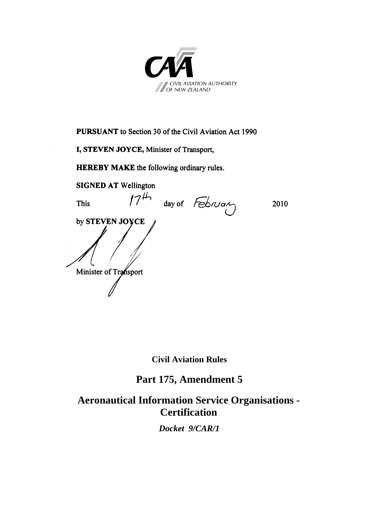

**PURSUANT** to Section 30 of the Civil Aviation Act 1990

**I, STEVEN JOYCE, Minister of Transport,** 

**HEREBY MAKE** the following ordinary rules.

**SIGNED AT Wellington** This  $17<sup>44</sup>$  day of February 2010 by STEVEN JOYCE by **STEVEN JOYCE** Minister of Transport

**Civil Aviation Rules** 

**Part 175, Amendment 5**

**Aeronautical Information Service Organisations - Certification** 

*Docket 9/CAR/1*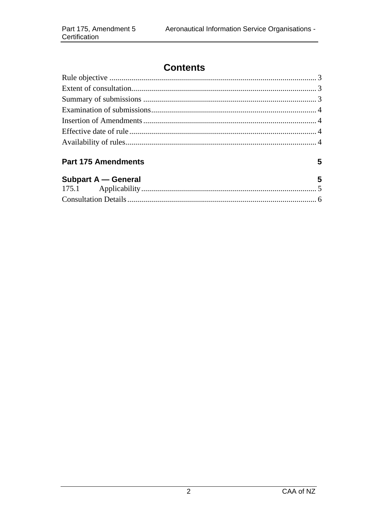# **Contents**

# **Part 175 Amendments**

| Subpart A - General | 5 |
|---------------------|---|
|                     |   |
|                     |   |

 $5\phantom{a}$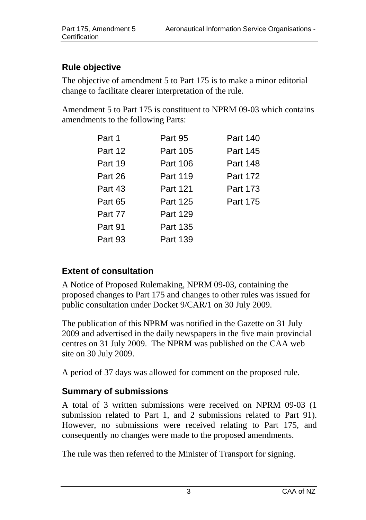# <span id="page-2-0"></span>**Rule objective**

The objective of amendment 5 to Part 175 is to make a minor editorial change to facilitate clearer interpretation of the rule.

Amendment 5 to Part 175 is constituent to NPRM 09-03 which contains amendments to the following Parts:

| Part 1  | Part 95  | Part 140 |
|---------|----------|----------|
| Part 12 | Part 105 | Part 145 |
| Part 19 | Part 106 | Part 148 |
| Part 26 | Part 119 | Part 172 |
| Part 43 | Part 121 | Part 173 |
| Part 65 | Part 125 | Part 175 |
| Part 77 | Part 129 |          |
| Part 91 | Part 135 |          |
| Part 93 | Part 139 |          |

## **Extent of consultation**

A Notice of Proposed Rulemaking, NPRM 09-03, containing the proposed changes to Part 175 and changes to other rules was issued for public consultation under Docket 9/CAR/1 on 30 July 2009.

The publication of this NPRM was notified in the Gazette on 31 July 2009 and advertised in the daily newspapers in the five main provincial centres on 31 July 2009. The NPRM was published on the CAA web site on 30 July 2009.

A period of 37 days was allowed for comment on the proposed rule.

## **Summary of submissions**

A total of 3 written submissions were received on NPRM 09-03 (1 submission related to Part 1, and 2 submissions related to Part 91). However, no submissions were received relating to Part 175, and consequently no changes were made to the proposed amendments.

The rule was then referred to the Minister of Transport for signing.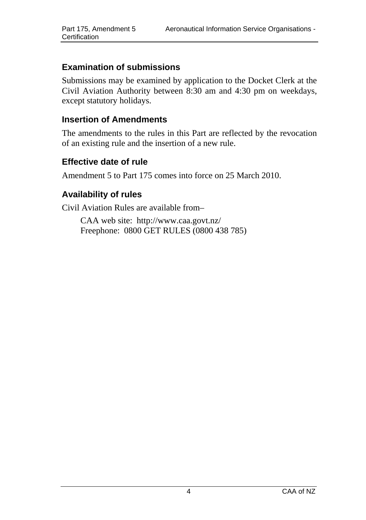#### <span id="page-3-0"></span>**Examination of submissions**

Submissions may be examined by application to the Docket Clerk at the Civil Aviation Authority between 8:30 am and 4:30 pm on weekdays, except statutory holidays.

#### **Insertion of Amendments**

The amendments to the rules in this Part are reflected by the revocation of an existing rule and the insertion of a new rule.

#### **Effective date of rule**

Amendment 5 to Part 175 comes into force on 25 March 2010.

## **Availability of rules**

Civil Aviation Rules are available from–

CAA web site: <http://www.caa.govt.nz/> Freephone: 0800 GET RULES (0800 438 785)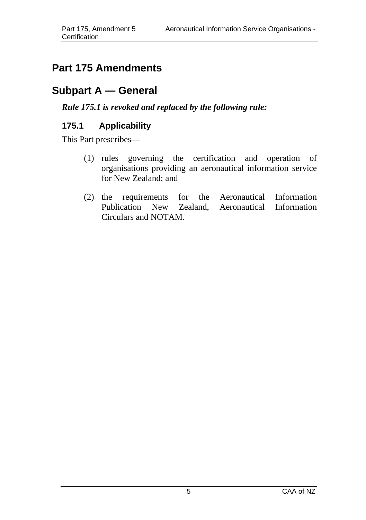# <span id="page-4-0"></span>**Part 175 Amendments**

# **Subpart A — General**

## *Rule 175.1 is revoked and replaced by the following rule:*

# **175.1 Applicability**

This Part prescribes—

- (1) rules governing the certification and operation of organisations providing an aeronautical information service for New Zealand; and
- (2) the requirements for the Aeronautical Information Publication New Zealand, Aeronautical Information Circulars and NOTAM.